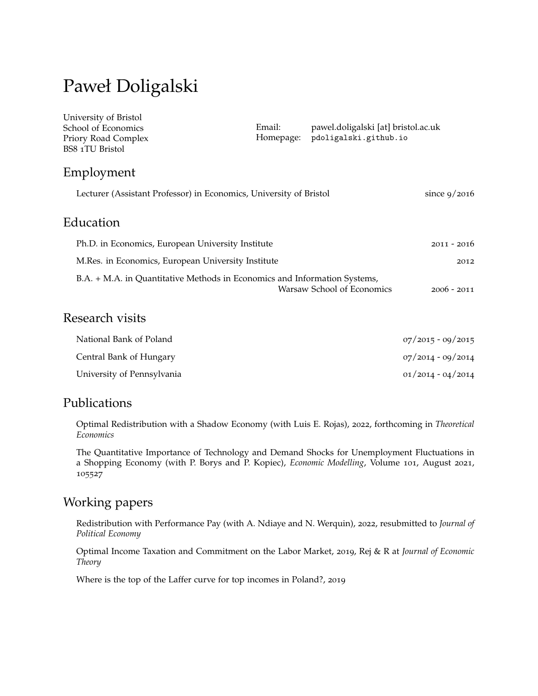# Paweł Doligalski

| University of Bristol<br>School of Economics<br>Priory Road Complex<br>BS8 1TU Bristol | Email:<br>Homepage: | pawel.doligalski [at] bristol.ac.uk<br>pdoligalski.github.io |                     |
|----------------------------------------------------------------------------------------|---------------------|--------------------------------------------------------------|---------------------|
| Employment                                                                             |                     |                                                              |                     |
| Lecturer (Assistant Professor) in Economics, University of Bristol                     |                     |                                                              | since $9/2016$      |
| Education                                                                              |                     |                                                              |                     |
| Ph.D. in Economics, European University Institute                                      |                     |                                                              | $2011 - 2016$       |
| M.Res. in Economics, European University Institute                                     |                     |                                                              | 2012                |
| B.A. + M.A. in Quantitative Methods in Economics and Information Systems,              |                     | Warsaw School of Economics                                   | $2006 - 2011$       |
| Research visits                                                                        |                     |                                                              |                     |
| National Bank of Poland                                                                |                     |                                                              | $07/2015 - 09/2015$ |

| Central Bank of Hungary    | 07/2014 - 09/2014   |
|----------------------------|---------------------|
| University of Pennsylvania | $01/2014 - 04/2014$ |

## Publications

Optimal Redistribution with a Shadow Economy (with Luis E. Rojas), 2022, forthcoming in *Theoretical Economics*

The Quantitative Importance of Technology and Demand Shocks for Unemployment Fluctuations in a Shopping Economy (with P. Borys and P. Kopiec), *Economic Modelling*, Volume 101, August 2021, 105527

## Working papers

Redistribution with Performance Pay (with A. Ndiaye and N. Werquin), 2022, resubmitted to *Journal of Political Economy*

Optimal Income Taxation and Commitment on the Labor Market, 2019, Rej & R at *Journal of Economic Theory*

Where is the top of the Laffer curve for top incomes in Poland?, 2019